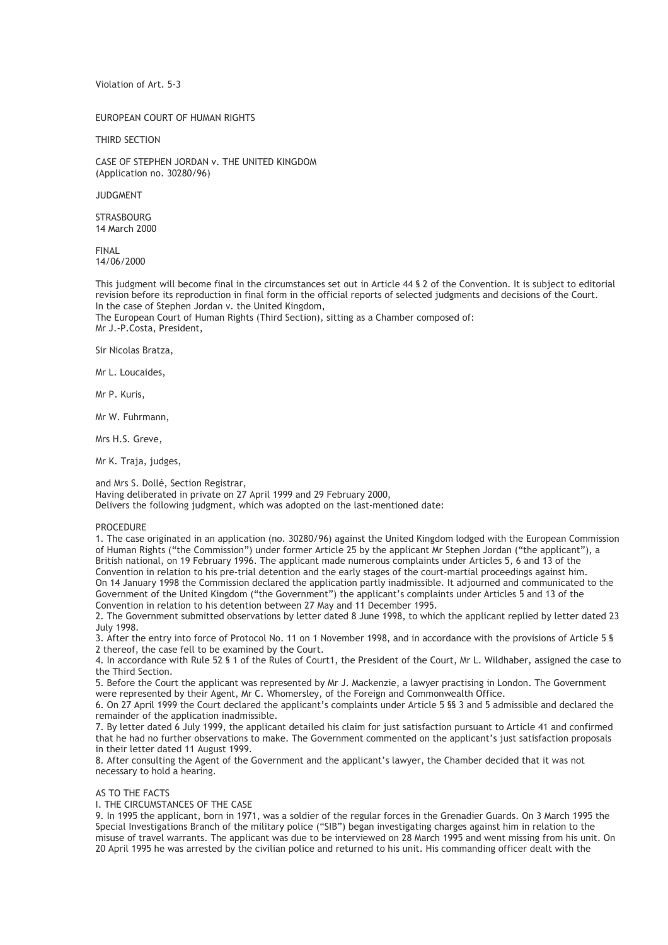Violation of Art. 5-3

EUROPEAN COURT OF HUMAN RIGHTS

THIRD SECTION

CASE OF STEPHEN JORDAN v. THE UNITED KINGDOM (Application no. 30280/96)

JUDGMENT

**STRASBOURG** 14 March 2000

FINAL 14/06/2000

This judgment will become final in the circumstances set out in Article 44 § 2 of the Convention. It is subject to editorial revision before its reproduction in final form in the official reports of selected judgments and decisions of the Court. In the case of Stephen Jordan v. the United Kingdom,

The European Court of Human Rights (Third Section), sitting as a Chamber composed of: Mr J.-P.Costa, President,

Sir Nicolas Bratza,

Mr L. Loucaides,

Mr P. Kuris,

Mr W. Fuhrmann,

Mrs H.S. Greve,

Mr K. Traja, judges,

and Mrs S. Dollé, Section Registrar, Having deliberated in private on 27 April 1999 and 29 February 2000, Delivers the following judgment, which was adopted on the last-mentioned date:

### **PROCEDURE**

1. The case originated in an application (no. 30280/96) against the United Kingdom lodged with the European Commission of Human Rights ("the Commission") under former Article 25 by the applicant Mr Stephen Jordan ("the applicant"), a British national, on 19 February 1996. The applicant made numerous complaints under Articles 5, 6 and 13 of the Convention in relation to his pre-trial detention and the early stages of the court-martial proceedings against him. On 14 January 1998 the Commission declared the application partly inadmissible. It adjourned and communicated to the Government of the United Kingdom ("the Government") the applicant's complaints under Articles 5 and 13 of the Convention in relation to his detention between 27 May and 11 December 1995.

2. The Government submitted observations by letter dated 8 June 1998, to which the applicant replied by letter dated 23 July 1998.

3. After the entry into force of Protocol No. 11 on 1 November 1998, and in accordance with the provisions of Article 5 § 2 thereof, the case fell to be examined by the Court.

4. In accordance with Rule 52 § 1 of the Rules of Court1, the President of the Court, Mr L. Wildhaber, assigned the case to the Third Section.

5. Before the Court the applicant was represented by Mr J. Mackenzie, a lawyer practising in London. The Government were represented by their Agent, Mr C. Whomersley, of the Foreign and Commonwealth Office.

6. On 27 April 1999 the Court declared the applicant's complaints under Article 5 §§ 3 and 5 admissible and declared the remainder of the application inadmissible.

7. By letter dated 6 July 1999, the applicant detailed his claim for just satisfaction pursuant to Article 41 and confirmed that he had no further observations to make. The Government commented on the applicant's just satisfaction proposals in their letter dated 11 August 1999.

8. After consulting the Agent of the Government and the applicant's lawyer, the Chamber decided that it was not necessary to hold a hearing.

## AS TO THE FACTS

I. THE CIRCUMSTANCES OF THE CASE

9. In 1995 the applicant, born in 1971, was a soldier of the regular forces in the Grenadier Guards. On 3 March 1995 the Special Investigations Branch of the military police ("SIB") began investigating charges against him in relation to the misuse of travel warrants. The applicant was due to be interviewed on 28 March 1995 and went missing from his unit. On 20 April 1995 he was arrested by the civilian police and returned to his unit. His commanding officer dealt with the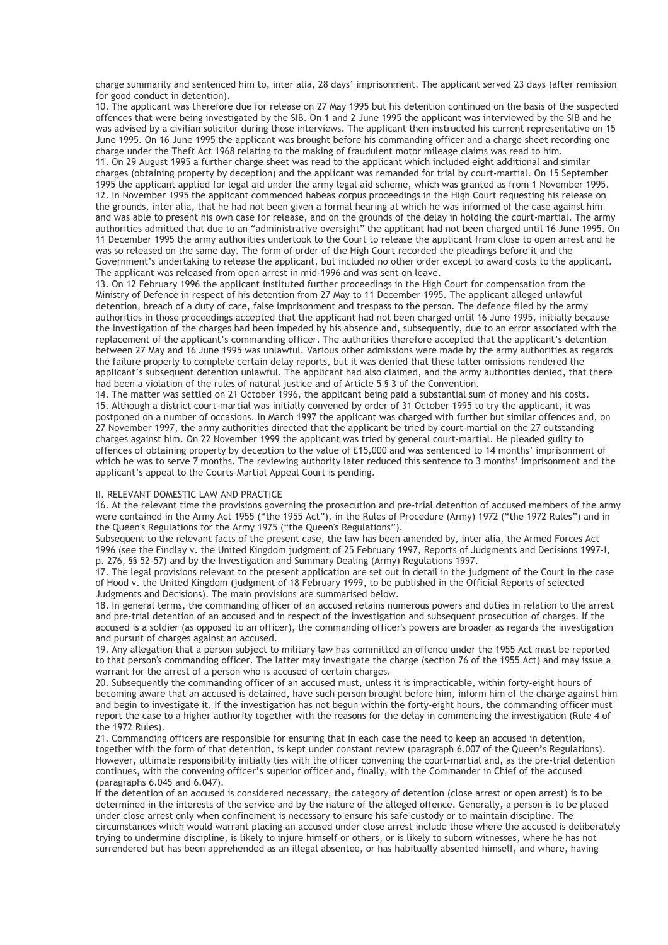charge summarily and sentenced him to, inter alia, 28 days' imprisonment. The applicant served 23 days (after remission for good conduct in detention).

10. The applicant was therefore due for release on 27 May 1995 but his detention continued on the basis of the suspected offences that were being investigated by the SIB. On 1 and 2 June 1995 the applicant was interviewed by the SIB and he was advised by a civilian solicitor during those interviews. The applicant then instructed his current representative on 15 June 1995. On 16 June 1995 the applicant was brought before his commanding officer and a charge sheet recording one charge under the Theft Act 1968 relating to the making of fraudulent motor mileage claims was read to him.

11. On 29 August 1995 a further charge sheet was read to the applicant which included eight additional and similar charges (obtaining property by deception) and the applicant was remanded for trial by court-martial. On 15 September 1995 the applicant applied for legal aid under the army legal aid scheme, which was granted as from 1 November 1995. 12. In November 1995 the applicant commenced habeas corpus proceedings in the High Court requesting his release on the grounds, inter alia, that he had not been given a formal hearing at which he was informed of the case against him and was able to present his own case for release, and on the grounds of the delay in holding the court-martial. The army authorities admitted that due to an "administrative oversight" the applicant had not been charged until 16 June 1995. On 11 December 1995 the army authorities undertook to the Court to release the applicant from close to open arrest and he was so released on the same day. The form of order of the High Court recorded the pleadings before it and the Government's undertaking to release the applicant, but included no other order except to award costs to the applicant. The applicant was released from open arrest in mid-1996 and was sent on leave.

13. On 12 February 1996 the applicant instituted further proceedings in the High Court for compensation from the Ministry of Defence in respect of his detention from 27 May to 11 December 1995. The applicant alleged unlawful detention, breach of a duty of care, false imprisonment and trespass to the person. The defence filed by the army authorities in those proceedings accepted that the applicant had not been charged until 16 June 1995, initially because the investigation of the charges had been impeded by his absence and, subsequently, due to an error associated with the replacement of the applicant's commanding officer. The authorities therefore accepted that the applicant's detention between 27 May and 16 June 1995 was unlawful. Various other admissions were made by the army authorities as regards the failure properly to complete certain delay reports, but it was denied that these latter omissions rendered the applicant's subsequent detention unlawful. The applicant had also claimed, and the army authorities denied, that there had been a violation of the rules of natural justice and of Article 5 § 3 of the Convention.

14. The matter was settled on 21 October 1996, the applicant being paid a substantial sum of money and his costs. 15. Although a district court-martial was initially convened by order of 31 October 1995 to try the applicant, it was postponed on a number of occasions. In March 1997 the applicant was charged with further but similar offences and, on 27 November 1997, the army authorities directed that the applicant be tried by court-martial on the 27 outstanding charges against him. On 22 November 1999 the applicant was tried by general court-martial. He pleaded guilty to offences of obtaining property by deception to the value of £15,000 and was sentenced to 14 months' imprisonment of which he was to serve 7 months. The reviewing authority later reduced this sentence to 3 months' imprisonment and the applicant's appeal to the Courts-Martial Appeal Court is pending.

### II. RELEVANT DOMESTIC LAW AND PRACTICE

16. At the relevant time the provisions governing the prosecution and pre-trial detention of accused members of the army were contained in the Army Act 1955 ("the 1955 Act"), in the Rules of Procedure (Army) 1972 ("the 1972 Rules") and in the Queen's Regulations for the Army 1975 ("the Queen's Regulations").

Subsequent to the relevant facts of the present case, the law has been amended by, inter alia, the Armed Forces Act 1996 (see the Findlay v. the United Kingdom judgment of 25 February 1997, Reports of Judgments and Decisions 1997-I, p. 276, §§ 52-57) and by the Investigation and Summary Dealing (Army) Regulations 1997.

17. The legal provisions relevant to the present application are set out in detail in the judgment of the Court in the case of Hood v. the United Kingdom (judgment of 18 February 1999, to be published in the Official Reports of selected Judgments and Decisions). The main provisions are summarised below.

18. In general terms, the commanding officer of an accused retains numerous powers and duties in relation to the arrest and pre-trial detention of an accused and in respect of the investigation and subsequent prosecution of charges. If the accused is a soldier (as opposed to an officer), the commanding officer's powers are broader as regards the investigation and pursuit of charges against an accused.

19. Any allegation that a person subject to military law has committed an offence under the 1955 Act must be reported to that person's commanding officer. The latter may investigate the charge (section 76 of the 1955 Act) and may issue a warrant for the arrest of a person who is accused of certain charges.

20. Subsequently the commanding officer of an accused must, unless it is impracticable, within forty-eight hours of becoming aware that an accused is detained, have such person brought before him, inform him of the charge against him and begin to investigate it. If the investigation has not begun within the forty-eight hours, the commanding officer must report the case to a higher authority together with the reasons for the delay in commencing the investigation (Rule 4 of the 1972 Rules).

21. Commanding officers are responsible for ensuring that in each case the need to keep an accused in detention, together with the form of that detention, is kept under constant review (paragraph 6.007 of the Queen's Regulations). However, ultimate responsibility initially lies with the officer convening the court-martial and, as the pre-trial detention continues, with the convening officer's superior officer and, finally, with the Commander in Chief of the accused (paragraphs 6.045 and 6.047).

If the detention of an accused is considered necessary, the category of detention (close arrest or open arrest) is to be determined in the interests of the service and by the nature of the alleged offence. Generally, a person is to be placed under close arrest only when confinement is necessary to ensure his safe custody or to maintain discipline. The circumstances which would warrant placing an accused under close arrest include those where the accused is deliberately trying to undermine discipline, is likely to injure himself or others, or is likely to suborn witnesses, where he has not surrendered but has been apprehended as an illegal absentee, or has habitually absented himself, and where, having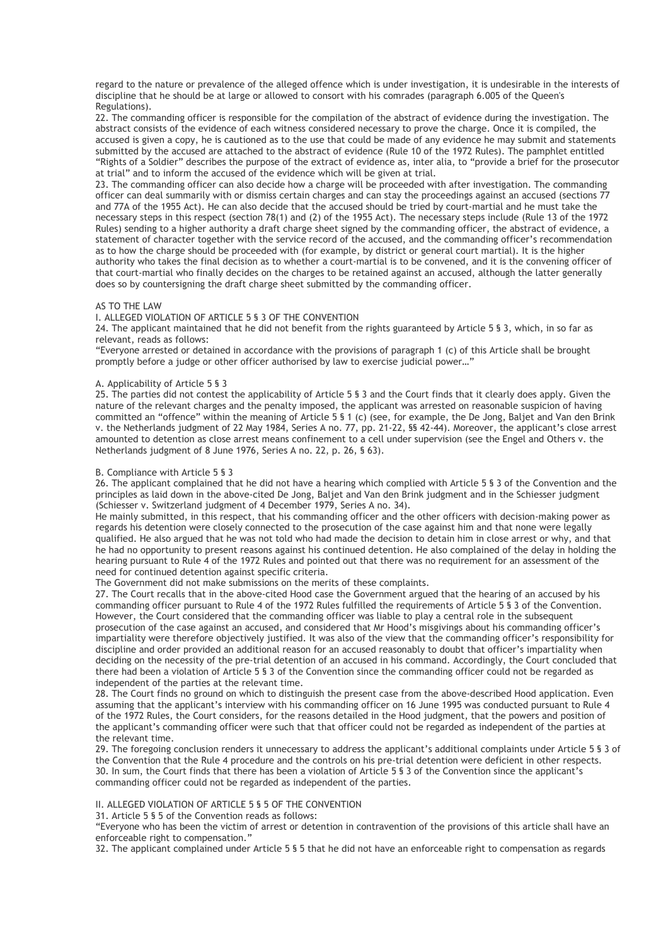regard to the nature or prevalence of the alleged offence which is under investigation, it is undesirable in the interests of discipline that he should be at large or allowed to consort with his comrades (paragraph 6.005 of the Queen's Regulations).

22. The commanding officer is responsible for the compilation of the abstract of evidence during the investigation. The abstract consists of the evidence of each witness considered necessary to prove the charge. Once it is compiled, the accused is given a copy, he is cautioned as to the use that could be made of any evidence he may submit and statements submitted by the accused are attached to the abstract of evidence (Rule 10 of the 1972 Rules). The pamphlet entitled "Rights of a Soldier" describes the purpose of the extract of evidence as, inter alia, to "provide a brief for the prosecutor at trial" and to inform the accused of the evidence which will be given at trial.

23. The commanding officer can also decide how a charge will be proceeded with after investigation. The commanding officer can deal summarily with or dismiss certain charges and can stay the proceedings against an accused (sections 77 and 77A of the 1955 Act). He can also decide that the accused should be tried by court-martial and he must take the necessary steps in this respect (section 78(1) and (2) of the 1955 Act). The necessary steps include (Rule 13 of the 1972 Rules) sending to a higher authority a draft charge sheet signed by the commanding officer, the abstract of evidence, a statement of character together with the service record of the accused, and the commanding officer's recommendation as to how the charge should be proceeded with (for example, by district or general court martial). It is the higher authority who takes the final decision as to whether a court-martial is to be convened, and it is the convening officer of that court-martial who finally decides on the charges to be retained against an accused, although the latter generally does so by countersigning the draft charge sheet submitted by the commanding officer.

### AS TO THE LAW

### I. ALLEGED VIOLATION OF ARTICLE 5 § 3 OF THE CONVENTION

24. The applicant maintained that he did not benefit from the rights guaranteed by Article 5 § 3, which, in so far as relevant, reads as follows:

"Everyone arrested or detained in accordance with the provisions of paragraph 1 (c) of this Article shall be brought promptly before a judge or other officer authorised by law to exercise judicial power…"

### A. Applicability of Article 5 § 3

25. The parties did not contest the applicability of Article 5 § 3 and the Court finds that it clearly does apply. Given the nature of the relevant charges and the penalty imposed, the applicant was arrested on reasonable suspicion of having committed an "offence" within the meaning of Article 5 § 1 (c) (see, for example, the De Jong, Baljet and Van den Brink v. the Netherlands judgment of 22 May 1984, Series A no. 77, pp. 21-22, §§ 42-44). Moreover, the applicant's close arrest amounted to detention as close arrest means confinement to a cell under supervision (see the Engel and Others v. the Netherlands judgment of 8 June 1976, Series A no. 22, p. 26, § 63).

## B. Compliance with Article 5 § 3

26. The applicant complained that he did not have a hearing which complied with Article 5 § 3 of the Convention and the principles as laid down in the above-cited De Jong, Baljet and Van den Brink judgment and in the Schiesser judgment (Schiesser v. Switzerland judgment of 4 December 1979, Series A no. 34).

He mainly submitted, in this respect, that his commanding officer and the other officers with decision-making power as regards his detention were closely connected to the prosecution of the case against him and that none were legally qualified. He also argued that he was not told who had made the decision to detain him in close arrest or why, and that he had no opportunity to present reasons against his continued detention. He also complained of the delay in holding the hearing pursuant to Rule 4 of the 1972 Rules and pointed out that there was no requirement for an assessment of the need for continued detention against specific criteria.

The Government did not make submissions on the merits of these complaints.

27. The Court recalls that in the above-cited Hood case the Government argued that the hearing of an accused by his commanding officer pursuant to Rule 4 of the 1972 Rules fulfilled the requirements of Article 5 § 3 of the Convention. However, the Court considered that the commanding officer was liable to play a central role in the subsequent prosecution of the case against an accused, and considered that Mr Hood's misgivings about his commanding officer's impartiality were therefore objectively justified. It was also of the view that the commanding officer's responsibility for discipline and order provided an additional reason for an accused reasonably to doubt that officer's impartiality when deciding on the necessity of the pre-trial detention of an accused in his command. Accordingly, the Court concluded that there had been a violation of Article 5 § 3 of the Convention since the commanding officer could not be regarded as independent of the parties at the relevant time.

28. The Court finds no ground on which to distinguish the present case from the above-described Hood application. Even assuming that the applicant's interview with his commanding officer on 16 June 1995 was conducted pursuant to Rule 4 of the 1972 Rules, the Court considers, for the reasons detailed in the Hood judgment, that the powers and position of the applicant's commanding officer were such that that officer could not be regarded as independent of the parties at the relevant time.

29. The foregoing conclusion renders it unnecessary to address the applicant's additional complaints under Article 5 § 3 of the Convention that the Rule 4 procedure and the controls on his pre-trial detention were deficient in other respects. 30. In sum, the Court finds that there has been a violation of Article 5 § 3 of the Convention since the applicant's commanding officer could not be regarded as independent of the parties.

# II. ALLEGED VIOLATION OF ARTICLE 5 § 5 OF THE CONVENTION

31. Article 5 § 5 of the Convention reads as follows:

"Everyone who has been the victim of arrest or detention in contravention of the provisions of this article shall have an enforceable right to compensation."

32. The applicant complained under Article 5 § 5 that he did not have an enforceable right to compensation as regards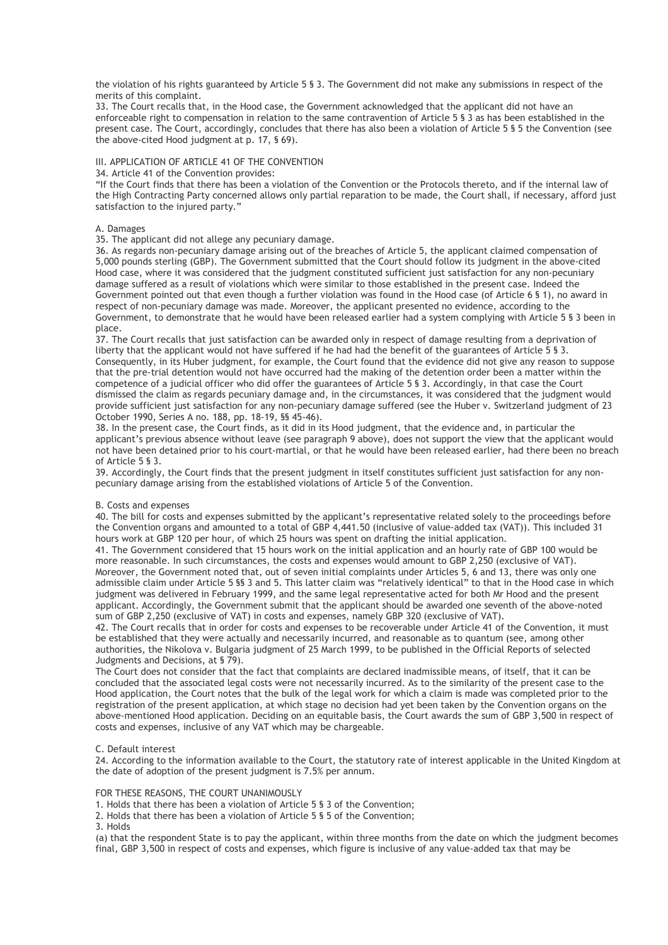the violation of his rights guaranteed by Article 5 § 3. The Government did not make any submissions in respect of the merits of this complaint.

33. The Court recalls that, in the Hood case, the Government acknowledged that the applicant did not have an enforceable right to compensation in relation to the same contravention of Article 5 § 3 as has been established in the present case. The Court, accordingly, concludes that there has also been a violation of Article 5 § 5 the Convention (see the above-cited Hood judgment at p. 17, § 69).

# III. APPLICATION OF ARTICLE 41 OF THE CONVENTION

34. Article 41 of the Convention provides:

"If the Court finds that there has been a violation of the Convention or the Protocols thereto, and if the internal law of the High Contracting Party concerned allows only partial reparation to be made, the Court shall, if necessary, afford just satisfaction to the injured party."

### A. Damages

35. The applicant did not allege any pecuniary damage.

36. As regards non-pecuniary damage arising out of the breaches of Article 5, the applicant claimed compensation of 5,000 pounds sterling (GBP). The Government submitted that the Court should follow its judgment in the above-cited Hood case, where it was considered that the judgment constituted sufficient just satisfaction for any non-pecuniary damage suffered as a result of violations which were similar to those established in the present case. Indeed the Government pointed out that even though a further violation was found in the Hood case (of Article 6 § 1), no award in respect of non-pecuniary damage was made. Moreover, the applicant presented no evidence, according to the Government, to demonstrate that he would have been released earlier had a system complying with Article 5 § 3 been in place.

37. The Court recalls that just satisfaction can be awarded only in respect of damage resulting from a deprivation of liberty that the applicant would not have suffered if he had had the benefit of the guarantees of Article 5 § 3. Consequently, in its Huber judgment, for example, the Court found that the evidence did not give any reason to suppose that the pre-trial detention would not have occurred had the making of the detention order been a matter within the competence of a judicial officer who did offer the guarantees of Article 5 § 3. Accordingly, in that case the Court dismissed the claim as regards pecuniary damage and, in the circumstances, it was considered that the judgment would provide sufficient just satisfaction for any non-pecuniary damage suffered (see the Huber v. Switzerland judgment of 23 October 1990, Series A no. 188, pp. 18-19, §§ 45-46).

38. In the present case, the Court finds, as it did in its Hood judgment, that the evidence and, in particular the applicant's previous absence without leave (see paragraph 9 above), does not support the view that the applicant would not have been detained prior to his court-martial, or that he would have been released earlier, had there been no breach of Article 5 § 3.

39. Accordingly, the Court finds that the present judgment in itself constitutes sufficient just satisfaction for any nonpecuniary damage arising from the established violations of Article 5 of the Convention.

### B. Costs and expenses

40. The bill for costs and expenses submitted by the applicant's representative related solely to the proceedings before the Convention organs and amounted to a total of GBP 4,441.50 (inclusive of value-added tax (VAT)). This included 31 hours work at GBP 120 per hour, of which 25 hours was spent on drafting the initial application.

41. The Government considered that 15 hours work on the initial application and an hourly rate of GBP 100 would be more reasonable. In such circumstances, the costs and expenses would amount to GBP 2,250 (exclusive of VAT). Moreover, the Government noted that, out of seven initial complaints under Articles 5, 6 and 13, there was only one admissible claim under Article 5 §§ 3 and 5. This latter claim was "relatively identical" to that in the Hood case in which judgment was delivered in February 1999, and the same legal representative acted for both Mr Hood and the present applicant. Accordingly, the Government submit that the applicant should be awarded one seventh of the above-noted sum of GBP 2,250 (exclusive of VAT) in costs and expenses, namely GBP 320 (exclusive of VAT).

42. The Court recalls that in order for costs and expenses to be recoverable under Article 41 of the Convention, it must be established that they were actually and necessarily incurred, and reasonable as to quantum (see, among other authorities, the Nikolova v. Bulgaria judgment of 25 March 1999, to be published in the Official Reports of selected Judgments and Decisions, at § 79).

The Court does not consider that the fact that complaints are declared inadmissible means, of itself, that it can be concluded that the associated legal costs were not necessarily incurred. As to the similarity of the present case to the Hood application, the Court notes that the bulk of the legal work for which a claim is made was completed prior to the registration of the present application, at which stage no decision had yet been taken by the Convention organs on the above-mentioned Hood application. Deciding on an equitable basis, the Court awards the sum of GBP 3,500 in respect of costs and expenses, inclusive of any VAT which may be chargeable.

### C. Default interest

24. According to the information available to the Court, the statutory rate of interest applicable in the United Kingdom at the date of adoption of the present judgment is 7.5% per annum.

#### FOR THESE REASONS, THE COURT UNANIMOUSLY

1. Holds that there has been a violation of Article 5 § 3 of the Convention;

2. Holds that there has been a violation of Article 5 § 5 of the Convention;

3. Holds

(a) that the respondent State is to pay the applicant, within three months from the date on which the judgment becomes final, GBP 3,500 in respect of costs and expenses, which figure is inclusive of any value-added tax that may be